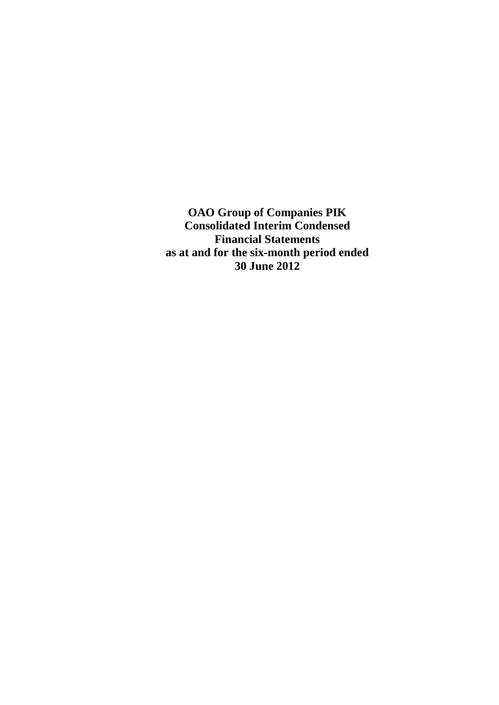**OAO Group of Companies PIK Consolidated Interim Condensed Financial Statements as at and for the six-month period ended 30 June 2012**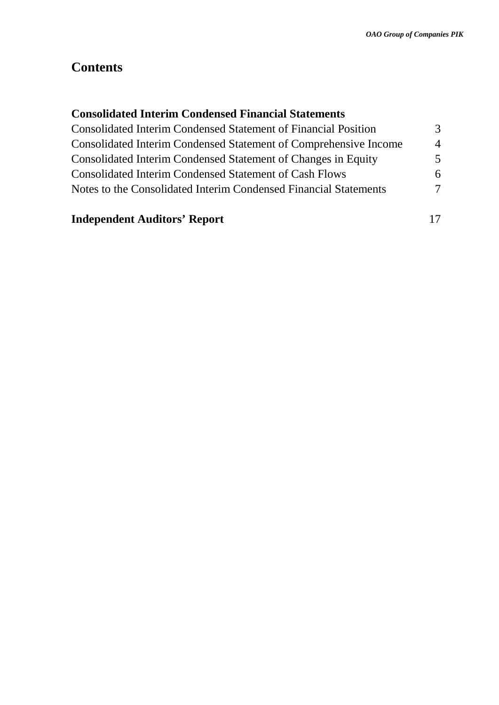# **Contents**

# **Consolidated Interim Condensed Financial Statements**

| <b>Consolidated Interim Condensed Statement of Financial Position</b>   | 3                        |
|-------------------------------------------------------------------------|--------------------------|
| <b>Consolidated Interim Condensed Statement of Comprehensive Income</b> | $\boldsymbol{\varDelta}$ |
| Consolidated Interim Condensed Statement of Changes in Equity           | 5                        |
| <b>Consolidated Interim Condensed Statement of Cash Flows</b>           | 6                        |
| Notes to the Consolidated Interim Condensed Financial Statements        | 7                        |
|                                                                         |                          |

# **Independent Auditors' Report** 17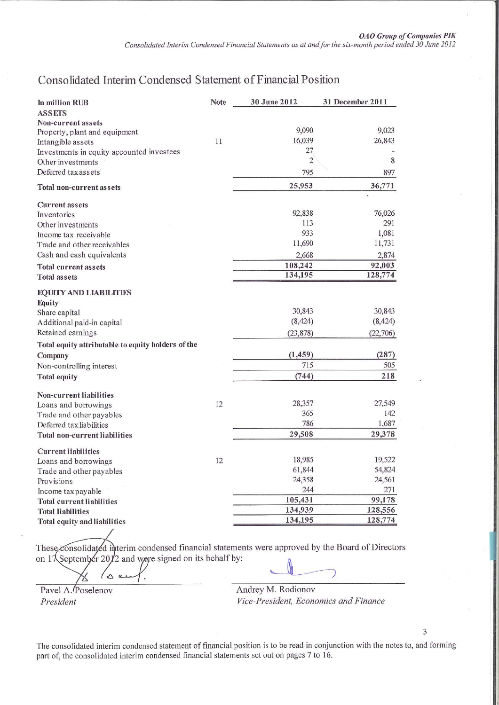# Consolidated Interim Condensed Statement of Financial Position

| In million RUB                                                 | Note | 30 June 2012   | 31 December 2011 |
|----------------------------------------------------------------|------|----------------|------------------|
| <b>ASSETS</b>                                                  |      |                |                  |
| Non-current assets                                             |      | 9,090          | 9,023            |
| Property, plant and equipment                                  | 11   | 16,039         | 26,843           |
| Intangible assets<br>Investments in equity accounted investees |      | 27             |                  |
| Other investments                                              |      | $\overline{2}$ | 8                |
| Deferred tax assets                                            |      | 795            | 897              |
| Total non-current assets                                       |      | 25,953         | 36,771           |
|                                                                |      |                |                  |
| <b>Current assets</b>                                          |      |                |                  |
| Inventories                                                    |      | 92,838         | 76,026           |
| Other investments                                              |      | 113            | 291              |
| Income tax receivable                                          |      | 933            | 1,081            |
| Trade and other receivables                                    |      | 11,690         | 11,731           |
| Cash and cash equivalents                                      |      | 2,668          | 2,874            |
| <b>Total current assets</b>                                    |      | 108,242        | 92,003           |
| <b>Total assets</b>                                            |      | 134,195        | 128,774          |
| <b>EQUITY AND LIABILITIES</b>                                  |      |                |                  |
| Equity                                                         |      |                |                  |
| Share capital                                                  |      | 30,843         | 30,843           |
| Additional paid-in capital                                     |      | (8, 424)       | (8, 424)         |
| Retained earnings                                              |      | (23, 878)      | (22, 706)        |
| Total equity attributable to equity holders of the             |      |                |                  |
| Company                                                        |      | (1, 459)       | (287)            |
| Non-controlling interest                                       |      | 715            | 505              |
| <b>Total equity</b>                                            |      | (744)          | 218              |
|                                                                |      |                |                  |
| Non-current liabilities<br>Loans and borrowings                | 12   | 28,357         | 27,549           |
| Trade and other payables                                       |      | 365            | 142              |
| Deferred tax liabilities                                       |      | 786            | 1,687            |
| <b>Total non-current liabilities</b>                           |      | 29,508         | 29,378           |
|                                                                |      |                |                  |
| <b>Current liabilities</b>                                     |      |                |                  |
| Loans and borrowings                                           | 12   | 18,985         | 19,522           |
| Trade and other payables                                       |      | 61,844         | 54,824           |
| Provisions                                                     |      | 24,358         | 24,561           |
| Income tax payable                                             |      | 244            | 271              |
| <b>Total current liabilities</b>                               |      | 105,431        | 99,178           |
| <b>Total liabilities</b>                                       |      | 134,939        | 128,556          |
| Total equity and liabilities                                   |      | 134,195        | 128,774          |

These consolidated interim condensed financial statements were approved by the Board of Directors on 1 $\frac{1}{2}$  september 20 $\frac{1}{2}$  and ware signed on its behalf by:

 $\mathbf{\hat{c}}$ 

Pavel A. Poselenov President

Andrey M. Rodionov Vice-President, Economics and Finance

The consolidated interim condensed statement of financial position is to be read in conjunction with the notes to, and forming part of, the consolidated interim condensed financial statements set out on pages 7 to 16.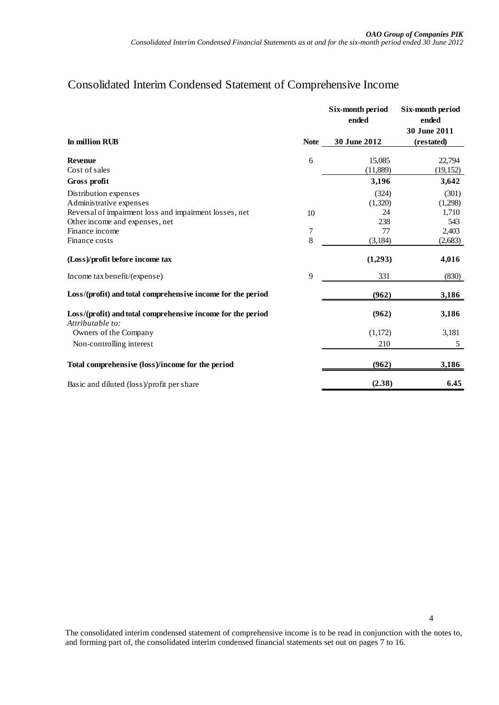# Consolidated Interim Condensed Statement of Comprehensive Income

|                                                                                 |             | <b>Six-month period</b><br>ended | Six-month period<br>ended<br>30 June 2011 |
|---------------------------------------------------------------------------------|-------------|----------------------------------|-------------------------------------------|
| In million RUB                                                                  | <b>Note</b> | 30 June 2012                     | (restated)                                |
| <b>Revenue</b>                                                                  | 6           | 15,085                           | 22,794                                    |
| Cost of sales                                                                   |             | (11,889)                         | (19, 152)                                 |
| Gross profit                                                                    |             | 3,196                            | 3,642                                     |
| Distribution expenses                                                           |             | (324)                            | (301)                                     |
| Administrative expenses                                                         |             | (1,320)                          | (1,298)                                   |
| Reversal of impairment loss and impairment losses, net                          | 10          | 24                               | 1,710                                     |
| Other income and expenses, net                                                  |             | 238                              | 543                                       |
| Finance income                                                                  | 7           | 77                               | 2,403                                     |
| Finance costs                                                                   | 8           | (3,184)                          | (2,683)                                   |
| (Loss)/profit before income tax                                                 |             | (1,293)                          | 4,016                                     |
| Income tax benefit/(expense)                                                    | 9           | 331                              | (830)                                     |
| Loss/(profit) and total comprehensive income for the period                     |             | (962)                            | 3,186                                     |
| Loss/(profit) and total comprehensive income for the period<br>Attributable to: |             | (962)                            | 3,186                                     |
| Owners of the Company                                                           |             | (1,172)                          | 3,181                                     |
| Non-controlling interest                                                        |             | 210                              | 5                                         |
| Total comprehensive (loss)/income for the period                                |             | (962)                            | 3,186                                     |
| Basic and diluted (loss)/profit per share                                       |             | (2.38)                           | 6.45                                      |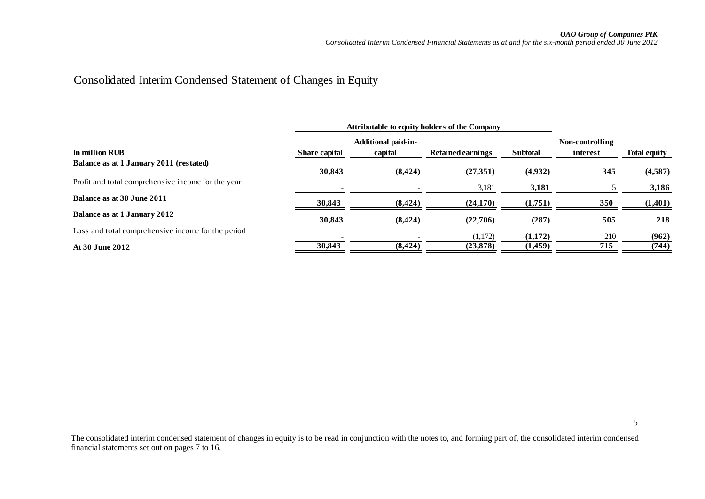# Consolidated Interim Condensed Statement of Changes in Equity

| <b>Attributable to equity holders of the Company</b> |               |                            |                          |                 |            |                     |
|------------------------------------------------------|---------------|----------------------------|--------------------------|-----------------|------------|---------------------|
|                                                      |               | <b>Additional paid-in-</b> |                          |                 |            |                     |
| In million RUB                                       | Share capital | capital                    | <b>Retained earnings</b> | <b>Subtotal</b> | interest   | <b>Total equity</b> |
| Balance as at 1 January 2011 (restated)              | 30,843        | (8, 424)                   | (27,351)                 | (4,932)         | 345        | (4,587)             |
| Profit and total comprehensive income for the year   |               |                            | 3,181                    | 3,181           |            | 3,186               |
| Balance as at 30 June 2011                           | 30,843        | (8, 424)                   | (24,170)                 | (1,751)         | <b>350</b> | (1,401)             |
| Balance as at 1 January 2012                         | 30,843        | (8, 424)                   | (22,706)                 | (287)           | 505        | 218                 |
| Loss and total comprehensive income for the period   |               |                            | (1,172)                  | (1,172)         | 210        | (962)               |
| At 30 June 2012                                      | 30,843        | (8, 424)                   | (23, 878)                | (1,459)         | 715        | (744)               |
|                                                      |               |                            |                          |                 |            |                     |

5

The consolidated interim condensed statement of changes in equity is to be read in conjunction with the notes to, and forming part of, the consolidated interim condensed financial statements set out on pages 7 to 16.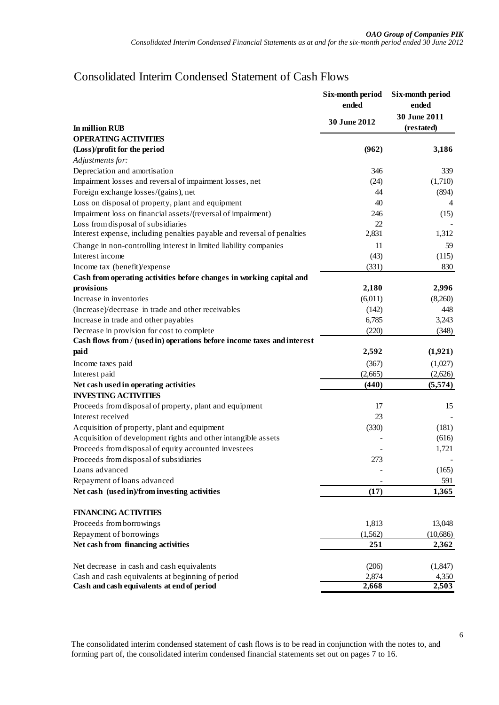# Consolidated Interim Condensed Statement of Cash Flows

|                                                                         | Six-month period<br>ended | Six-month period<br>ended  |
|-------------------------------------------------------------------------|---------------------------|----------------------------|
| In million RUB                                                          | 30 June 2012              | 30 June 2011<br>(restated) |
| <b>OPERATING ACTIVITIES</b>                                             |                           |                            |
| (Loss)/profit for the period                                            | (962)                     | 3,186                      |
| Adjustments for:                                                        |                           |                            |
| Depreciation and amortisation                                           | 346                       | 339                        |
| Impairment losses and reversal of impairment losses, net                | (24)                      | (1,710)                    |
| Foreign exchange losses/(gains), net                                    | 44                        | (894)                      |
| Loss on disposal of property, plant and equipment                       | 40                        | 4                          |
| Impairment loss on financial assets/(reversal of impairment)            | 246                       | (15)                       |
| Loss from disposal of subsidiaries                                      | 22                        |                            |
| Interest expense, including penalties payable and reversal of penalties | 2,831                     | 1,312                      |
| Change in non-controlling interest in limited liability companies       | 11                        | 59                         |
| Interest income                                                         | (43)                      | (115)                      |
| Income tax (benefit)/expense                                            | (331)                     | 830                        |
| Cash from operating activities before changes in working capital and    |                           |                            |
| provisions                                                              | 2,180                     | 2,996                      |
| Increase in inventories                                                 | (6,011)                   | (8,260)                    |
| (Increase)/decrease in trade and other receivables                      | (142)                     | 448                        |
| Increase in trade and other payables                                    | 6,785                     | 3,243                      |
| Decrease in provision for cost to complete                              | (220)                     | (348)                      |
| Cash flows from / (used in) operations before income taxes and interest |                           |                            |
| paid                                                                    | 2,592                     | (1,921)                    |
| Income taxes paid                                                       | (367)                     | (1,027)                    |
| Interest paid                                                           | (2,665)                   | (2,626)                    |
| Net cash used in operating activities                                   | (440)                     | (5,574)                    |
| <b>INVESTING ACTIVITIES</b>                                             |                           |                            |
| Proceeds from disposal of property, plant and equipment                 | 17                        | 15                         |
| Interest received                                                       | 23                        |                            |
| Acquisition of property, plant and equipment                            | (330)                     | (181)                      |
| Acquisition of development rights and other intangible assets           |                           | (616)                      |
| Proceeds from disposal of equity accounted investees                    |                           | 1,721                      |
| Proceeds from disposal of subsidiaries                                  | 273                       |                            |
| Loans advanced                                                          |                           | (165)                      |
| Repayment of loans advanced                                             |                           | 591                        |
| Net cash (used in)/from investing activities                            | (17)                      | 1,365                      |
| <b>FINANCING ACTIVITIES</b>                                             |                           |                            |
| Proceeds from borrowings                                                | 1,813                     | 13,048                     |
| Repayment of borrowings                                                 | (1, 562)                  | (10,686)                   |
| Net cash from financing activities                                      | 251                       | 2,362                      |
|                                                                         |                           |                            |
| Net decrease in cash and cash equivalents                               | (206)                     | (1, 847)                   |
| Cash and cash equivalents at beginning of period                        | 2,874                     | 4,350                      |
| Cash and cash equivalents at end of period                              | 2,668                     | 2,503                      |

The consolidated interim condensed statement of cash flows is to be read in conjunction with the notes to, and forming part of, the consolidated interim condensed financial statements set out on pages 7 to 16.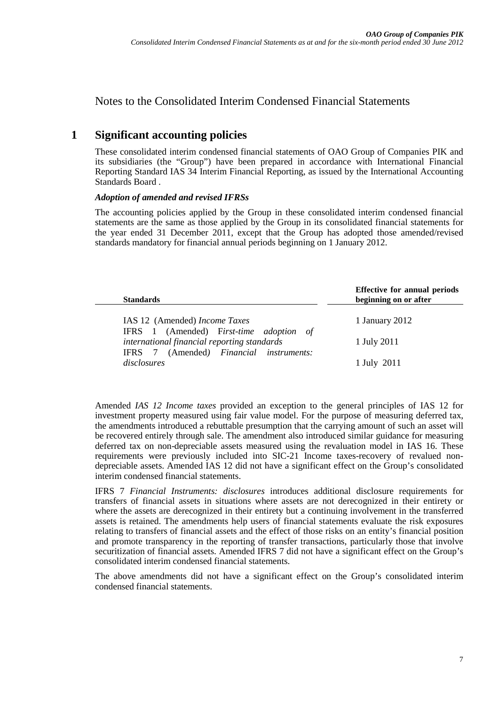Notes to the Consolidated Interim Condensed Financial Statements

## <span id="page-6-0"></span>**1 Significant accounting policies**

These consolidated interim condensed financial statements of OAO Group of Companies PIK and its subsidiaries (the "Group") have been prepared in accordance with International Financial Reporting Standard IAS 34 Interim Financial Reporting, as issued by the International Accounting Standards Board .

### *Adoption of amended and revised IFRSs*

The accounting policies applied by the Group in these consolidated interim condensed financial statements are the same as those applied by the Group in its consolidated financial statements for the year ended 31 December 2011, except that the Group has adopted those amended/revised standards mandatory for financial annual periods beginning on 1 January 2012.

| <b>Standards</b>                            | <b>Effective for annual periods</b><br>beginning on or after |
|---------------------------------------------|--------------------------------------------------------------|
| IAS 12 (Amended) Income Taxes               | 1 January 2012                                               |
| IFRS 1 (Amended) First-time adoption of     |                                                              |
| international financial reporting standards | 1 July 2011                                                  |
| IFRS 7 (Amended) Financial instruments:     |                                                              |
| disclosures                                 | 1 July 2011                                                  |

Amended *IAS 12 Income taxes* provided an exception to the general principles of IAS 12 for investment property measured using fair value model. For the purpose of measuring deferred tax, the amendments introduced a rebuttable presumption that the carrying amount of such an asset will be recovered entirely through sale. The amendment also introduced similar guidance for measuring deferred tax on non-depreciable assets measured using the revaluation model in IAS 16. These requirements were previously included into SIC-21 Income taxes-recovery of revalued nondepreciable assets. Amended IAS 12 did not have a significant effect on the Group's consolidated interim condensed financial statements.

IFRS 7 *Financial Instruments: disclosures* introduces additional disclosure requirements for transfers of financial assets in situations where assets are not derecognized in their entirety or where the assets are derecognized in their entirety but a continuing involvement in the transferred assets is retained. The amendments help users of financial statements evaluate the risk exposures relating to transfers of financial assets and the effect of those risks on an entity's financial position and promote transparency in the reporting of transfer transactions, particularly those that involve securitization of financial assets. Amended IFRS 7 did not have a significant effect on the Group's consolidated interim condensed financial statements.

The above amendments did not have a significant effect on the Group's consolidated interim condensed financial statements.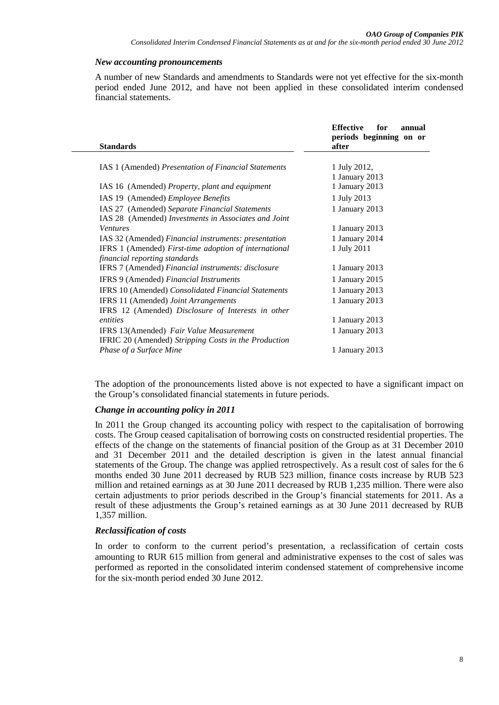#### *New accounting pronouncements*

A number of new Standards and amendments to Standards were not yet effective for the six-month period ended June 2012, and have not been applied in these consolidated interim condensed financial statements.

| <b>Standards</b>                                           | <b>Effective</b><br>for<br>annual<br>periods beginning on or<br>after |
|------------------------------------------------------------|-----------------------------------------------------------------------|
|                                                            |                                                                       |
| IAS 1 (Amended) Presentation of Financial Statements       | 1 July 2012,<br>1 January 2013                                        |
| IAS 16 (Amended) Property, plant and equipment             | 1 January 2013                                                        |
| IAS 19 (Amended) Employee Benefits                         | 1 July 2013                                                           |
| IAS 27 (Amended) Separate Financial Statements             | 1 January 2013                                                        |
| IAS 28 (Amended) Investments in Associates and Joint       |                                                                       |
| <b>Ventures</b>                                            | 1 January 2013                                                        |
| IAS 32 (Amended) Financial instruments: presentation       | 1 January 2014                                                        |
| IFRS 1 (Amended) First-time adoption of international      | 1 July 2011                                                           |
| financial reporting standards                              |                                                                       |
| IFRS 7 (Amended) Financial instruments: disclosure         | 1 January 2013                                                        |
| IFRS 9 (Amended) Financial Instruments                     | 1 January 2015                                                        |
| <b>IFRS 10 (Amended) Consolidated Financial Statements</b> |                                                                       |
| IFRS 11 (Amended) Joint Arrangements                       | 1 January 2013                                                        |
|                                                            |                                                                       |
| entities                                                   | 1 January 2013                                                        |
| IFRS 13(Amended) Fair Value Measurement                    | 1 January 2013                                                        |
| IFRIC 20 (Amended) Stripping Costs in the Production       |                                                                       |
| Phase of a Surface Mine                                    | 1 January 2013                                                        |
| IFRS 12 (Amended) Disclosure of Interests in other         | 1 January 2013                                                        |

The adoption of the pronouncements listed above is not expected to have a significant impact on the Group's consolidated financial statements in future periods.

#### *Change in accounting policy in 2011*

In 2011 the Group changed its accounting policy with respect to the capitalisation of borrowing costs. The Group ceased capitalisation of borrowing costs on constructed residential properties. The effects of the change on the statements of financial position of the Group as at 31 December 2010 and 31 December 2011 and the detailed description is given in the latest annual financial statements of the Group. The change was applied retrospectively. As a result cost of sales for the 6 months ended 30 June 2011 decreased by RUB 523 million, finance costs increase by RUB 523 million and retained earnings as at 30 June 2011 decreased by RUB 1,235 million. There were also certain adjustments to prior periods described in the Group's financial statements for 2011. As a result of these adjustments the Group's retained earnings as at 30 June 2011 decreased by RUB 1,357 million.

#### *Reclassification of costs*

In order to conform to the current period's presentation, a reclassification of certain costs amounting to RUR 615 million from general and administrative expenses to the cost of sales was performed as reported in the consolidated interim condensed statement of comprehensive income for the six-month period ended 30 June 2012.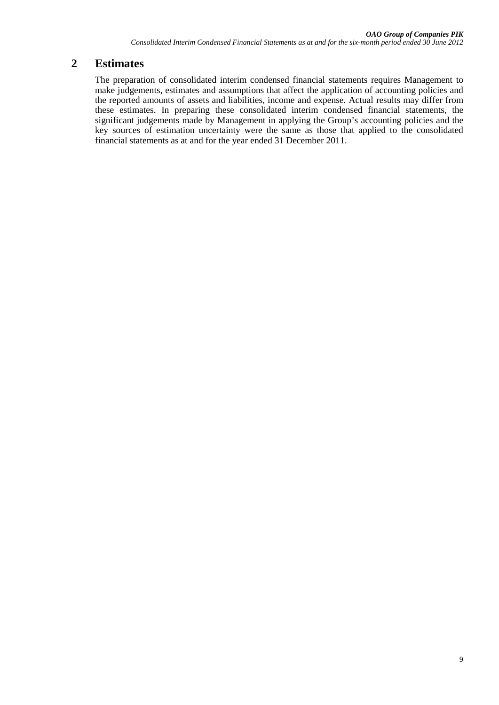# **2 Estimates**

The preparation of consolidated interim condensed financial statements requires Management to make judgements, estimates and assumptions that affect the application of accounting policies and the reported amounts of assets and liabilities, income and expense. Actual results may differ from these estimates. In preparing these consolidated interim condensed financial statements, the significant judgements made by Management in applying the Group's accounting policies and the key sources of estimation uncertainty were the same as those that applied to the consolidated financial statements as at and for the year ended 31 December 2011.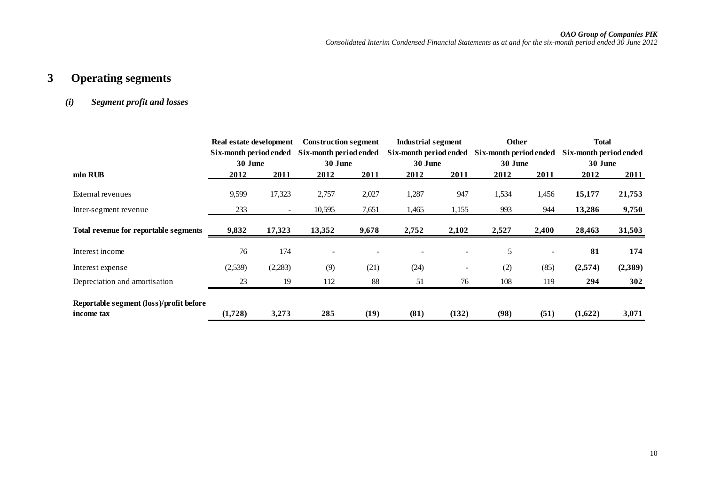# **3 Operating segments**

## *(i) Segment profit and losses*

|                                         | Real estate development |         | <b>Construction segment</b> |       |                        | Industrial segment       |                        | <b>Other</b> | <b>Total</b>           |         |
|-----------------------------------------|-------------------------|---------|-----------------------------|-------|------------------------|--------------------------|------------------------|--------------|------------------------|---------|
|                                         | Six-month period ended  |         | Six-month period ended      |       | Six-month period ended |                          | Six-month period ended |              | Six-month period ended |         |
|                                         | 30 June                 |         | 30 June                     |       | 30 June                |                          | 30 June                |              | 30 June                |         |
| mln RUB                                 | 2012                    | 2011    | 2012                        | 2011  | 2012                   | 2011                     | 2012                   | 2011         | 2012                   | 2011    |
| External revenues                       | 9,599                   | 17,323  | 2,757                       | 2,027 | 1,287                  | 947                      | 1,534                  | 1,456        | 15,177                 | 21,753  |
| Inter-segment revenue                   | 233                     | $\sim$  | 10,595                      | 7,651 | 1,465                  | 1,155                    | 993                    | 944          | 13,286                 | 9,750   |
| Total revenue for reportable segments   | 9,832                   | 17,323  | 13,352                      | 9,678 | 2,752                  | 2,102                    | 2,527                  | 2,400        | 28,463                 | 31,503  |
| Interest income                         | 76                      | 174     |                             |       |                        |                          | 5                      |              | 81                     | 174     |
| Interest expense                        | (2,539)                 | (2,283) | (9)                         | (21)  | (24)                   | $\overline{\phantom{a}}$ | (2)                    | (85)         | (2,574)                | (2,389) |
| Depreciation and amortisation           | 23                      | 19      | 112                         | 88    | 51                     | 76                       | 108                    | 119          | 294                    | 302     |
| Reportable segment (loss)/profit before |                         |         |                             |       |                        |                          |                        |              |                        |         |
| income tax                              | (1,728)                 | 3,273   | 285                         | (19)  | (81)                   | (132)                    | (98)                   | (51)         | (1,622)                | 3,071   |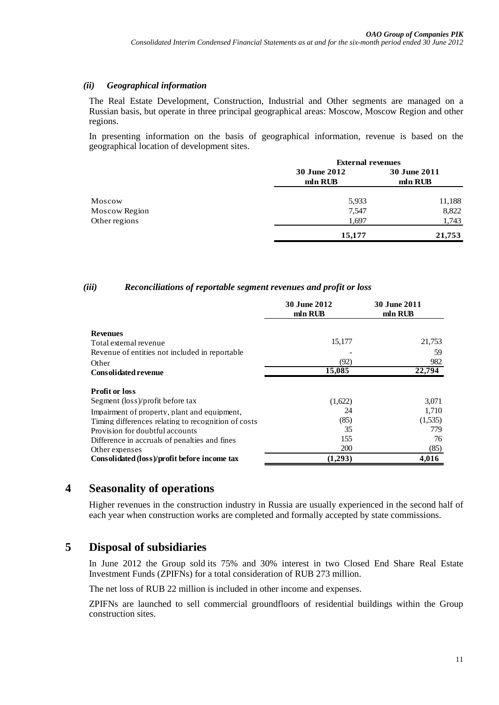### *(ii) Geographical information*

The Real Estate Development, Construction, Industrial and Other segments are managed on a Russian basis, but operate in three principal geographical areas: Moscow, Moscow Region and other regions.

In presenting information on the basis of geographical information, revenue is based on the geographical location of development sites.

|               |              | <b>External revenues</b> |  |  |  |
|---------------|--------------|--------------------------|--|--|--|
|               | 30 June 2012 | <b>30 June 2011</b>      |  |  |  |
|               | mln RUB      | mln RUB                  |  |  |  |
| Moscow        | 5,933        | 11,188                   |  |  |  |
| Moscow Region | 7,547        | 8,822                    |  |  |  |
| Other regions | 1,697        | 1,743                    |  |  |  |
|               | 15,177       | 21,753                   |  |  |  |

## *(iii) Reconciliations of reportable segment revenues and profit or loss*

|                                                     | <b>30 June 2012</b><br>mln RUB | <b>30 June 2011</b><br>mln RUB |
|-----------------------------------------------------|--------------------------------|--------------------------------|
| <b>Revenues</b>                                     |                                |                                |
| Total external revenue                              | 15,177                         | 21,753                         |
| Revenue of entities not included in reportable      |                                | 59                             |
| Other                                               | (92)                           | 982                            |
| <b>Consolidated revenue</b>                         | 15,085                         | 22.794                         |
| <b>Profit or loss</b>                               |                                |                                |
| Segment (loss)/profit before tax                    | (1,622)                        | 3,071                          |
| Impairment of property, plant and equipment,        | 24                             | 1,710                          |
| Timing differences relating to recognition of costs | (85)                           | (1,535)                        |
| Provision for doubtful accounts                     | 35                             | 779                            |
| Difference in accruals of penalties and fines       | 155                            | 76                             |
| Other expenses                                      | <b>200</b>                     | (85)                           |
| Consolidated (loss)/profit before income tax        | (1,293)                        | 4,016                          |

## **4 Seasonality of operations**

Higher revenues in the construction industry in Russia are usually experienced in the second half of each year when construction works are completed and formally accepted by state commissions.

# **5 Disposal of subsidiaries**

In June 2012 the Group sold its 75% and 30% interest in two Closed End Share Real Estate Investment Funds (ZPIFNs) for a total consideration of RUB 273 million.

The net loss of RUB 22 million is included in other income and expenses.

ZPIFNs are launched to sell commercial groundfloors of residential buildings within the Group construction sites.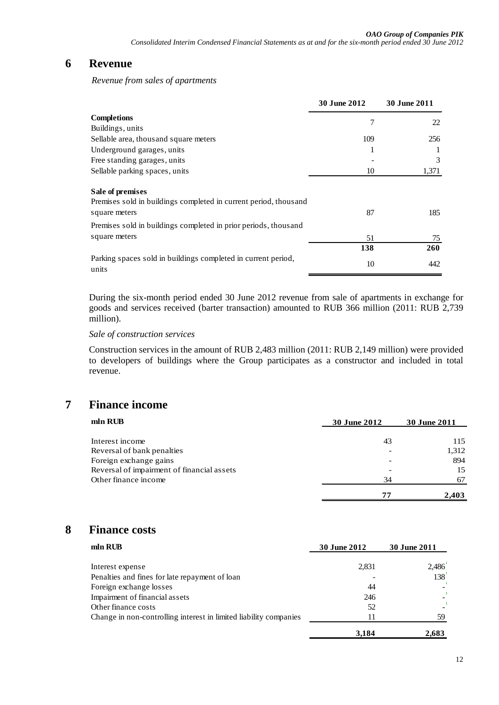## **6 Revenue**

*Revenue from sales of apartments*

|                                                                                      | <b>30 June 2012</b> | <b>30 June 2011</b> |
|--------------------------------------------------------------------------------------|---------------------|---------------------|
| <b>Completions</b>                                                                   | 7                   | 22                  |
| Buildings, units                                                                     |                     |                     |
| Sellable area, thousand square meters                                                | 109                 | 256                 |
| Underground garages, units                                                           |                     |                     |
| Free standing garages, units                                                         |                     | 3                   |
| Sellable parking spaces, units                                                       | 10                  | 1,371               |
| Sale of premises<br>Premises sold in buildings completed in current period, thousand |                     |                     |
| square meters                                                                        | 87                  | 185                 |
| Premises sold in buildings completed in prior periods, thousand                      |                     |                     |
| square meters                                                                        | 51                  | 75                  |
|                                                                                      | 138                 | 260                 |
| Parking spaces sold in buildings completed in current period,<br>units               | 10                  | 442                 |

During the six-month period ended 30 June 2012 revenue from sale of apartments in exchange for goods and services received (barter transaction) amounted to RUB 366 million (2011: RUB 2,739 million).

### *Sale of construction services*

Construction services in the amount of RUB 2,483 million (2011: RUB 2,149 million) were provided to developers of buildings where the Group participates as a constructor and included in total revenue.

# **7 Finance income**

| mln RUB                                    | <b>30 June 2012</b> | 30 June 2011 |
|--------------------------------------------|---------------------|--------------|
|                                            |                     |              |
| Interest income                            | 43                  | 115          |
| Reversal of bank penalties                 |                     | 1,312        |
| Foreign exchange gains                     |                     | 894          |
| Reversal of impairment of financial assets |                     | 15           |
| Other finance income                       | 34                  | 67           |
|                                            | 71                  | 2.403        |

## **8 Finance costs**

| mln RUB                                                           | 30 June 2012 | 30 June 2011 |  |
|-------------------------------------------------------------------|--------------|--------------|--|
| Interest expense                                                  | 2,831        | 2,486        |  |
| Penalties and fines for late repayment of loan                    |              | 138          |  |
| Foreign exchange losses                                           | 44           |              |  |
| Impairment of financial assets                                    | 246          |              |  |
| Other finance costs                                               | 52           |              |  |
| Change in non-controlling interest in limited liability companies | 11           | 59           |  |
|                                                                   | 3,184        | 2,683        |  |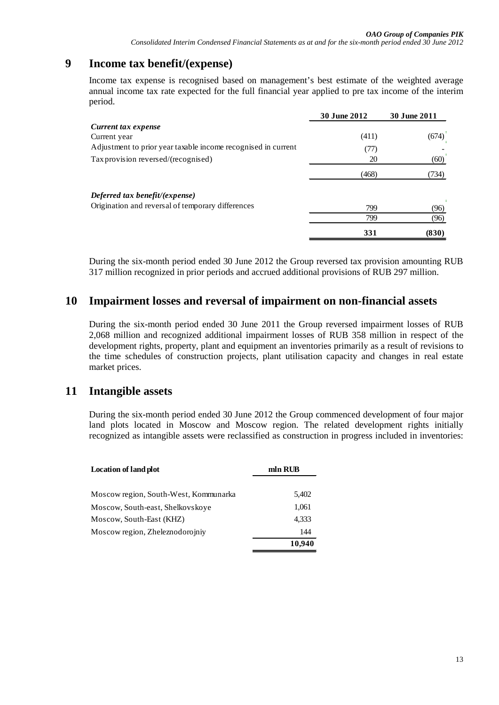# **9 Income tax benefit/(expense)**

Income tax expense is recognised based on management's best estimate of the weighted average annual income tax rate expected for the full financial year applied to pre tax income of the interim period.

|                                                               | 30 June 2012 | 30 June 2011         |
|---------------------------------------------------------------|--------------|----------------------|
| Current tax expense                                           |              |                      |
| Current year                                                  | (411)        | $(674)$ <sup>'</sup> |
| Adjustment to prior year taxable income recognised in current | (77)         |                      |
| Tax provision reversed/(recognised)                           | 20           | (60)                 |
|                                                               | (468)        | (734)                |
| Deferred tax benefit/(expense)                                |              |                      |
| Origination and reversal of temporary differences             | 799          | (96)                 |
|                                                               | 799          | (96)                 |
|                                                               | 331          | (830)                |

During the six-month period ended 30 June 2012 the Group reversed tax provision amounting RUB 317 million recognized in prior periods and accrued additional provisions of RUB 297 million.

## **10 Impairment losses and reversal of impairment on non-financial assets**

During the six-month period ended 30 June 2011 the Group reversed impairment losses of RUB 2,068 million and recognized additional impairment losses of RUB 358 million in respect of the development rights, property, plant and equipment an inventories primarily as a result of revisions to the time schedules of construction projects, plant utilisation capacity and changes in real estate market prices.

## **11 Intangible assets**

During the six-month period ended 30 June 2012 the Group commenced development of four major land plots located in Moscow and Moscow region. The related development rights initially recognized as intangible assets were reclassified as construction in progress included in inventories:

| <b>Location of land plot</b>          | mln RUB |
|---------------------------------------|---------|
| Moscow region, South-West, Kommunarka | 5,402   |
| Moscow, South-east, Shelkovskove      | 1,061   |
| Moscow, South-East (KHZ)              | 4,333   |
| Moscow region, Zheleznodorojniy       | 144     |
|                                       | 10,940  |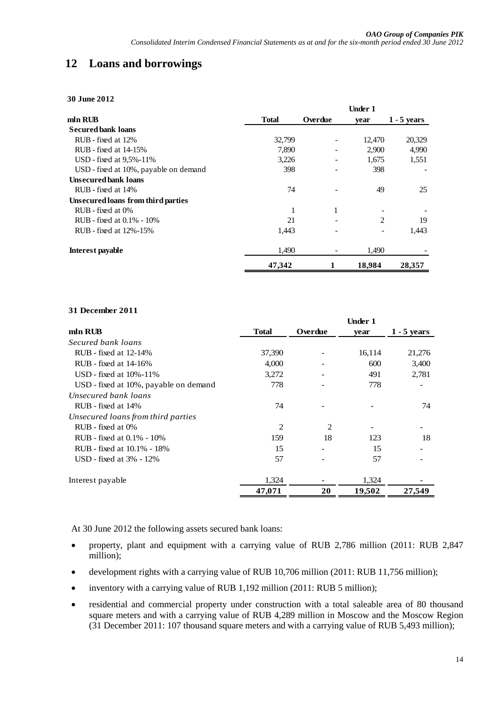# **12 Loans and borrowings**

**30 June 2012**

| mln RUB                               | <b>Total</b> | Overdue | vear   | $1 - 5$ years |
|---------------------------------------|--------------|---------|--------|---------------|
| <b>Secured bank loans</b>             |              |         |        |               |
| RUB - fixed at 12%                    | 32,799       |         | 12,470 | 20,329        |
| RUB - fixed at 14-15%                 | 7,890        |         | 2,900  | 4,990         |
| USD - fixed at 9.5%-11%               | 3,226        |         | 1,675  | 1,551         |
| USD - fixed at 10%, payable on demand | 398          |         | 398    |               |
| <b>Unsecured bank loans</b>           |              |         |        |               |
| RUB - fixed at 14%                    | 74           |         | 49     | 25            |
| Unsecured loans from third parties    |              |         |        |               |
| RUB - fixed at 0%                     | 1            | 1       |        |               |
| RUB - fixed at 0.1% - 10%             | 21           |         | 2      | 19            |
| RUB - fixed at 12%-15%                | 1.443        |         |        | 1,443         |
| Interest payable                      | 1,490        |         | 1,490  |               |
|                                       | 47.342       |         | 18,984 | 28,357        |

#### **31 December 2011**

|                                       |                |         | Under 1 |               |
|---------------------------------------|----------------|---------|---------|---------------|
| mln RUB                               | <b>Total</b>   | Overdue | year    | $1 - 5$ years |
| Secured bank loans                    |                |         |         |               |
| RUB - fixed at 12-14%                 | 37,390         |         | 16,114  | 21,276        |
| RUB - fixed at 14-16%                 | 4,000          |         | 600     | 3,400         |
| USD - fixed at $10\% - 11\%$          | 3,272          |         | 491     | 2,781         |
| USD - fixed at 10%, payable on demand | 778            |         | 778     |               |
| Unsecured bank loans                  |                |         |         |               |
| RUB - fixed at 14%                    | 74             |         |         | 74            |
| Unsecured loans from third parties    |                |         |         |               |
| RUB - fixed at 0%                     | $\overline{c}$ | 2       |         |               |
| RUB - fixed at 0.1% - 10%             | 159            | 18      | 123     | 18            |
| RUB - fixed at 10.1% - 18%            | 15             |         | 15      |               |
| USD - fixed at $3\%$ - $12\%$         | 57             |         | 57      |               |
| Interest payable                      | 1,324          |         | 1,324   |               |
|                                       | 47,071         | 20      | 19,502  | 27,549        |

At 30 June 2012 the following assets secured bank loans:

- property, plant and equipment with a carrying value of RUB 2,786 million (2011: RUB 2,847 million);
- development rights with a carrying value of RUB 10,706 million (2011: RUB 11,756 million);
- inventory with a carrying value of RUB 1,192 million (2011: RUB 5 million);
- residential and commercial property under construction with a total saleable area of 80 thousand square meters and with a carrying value of RUB 4,289 million in Moscow and the Moscow Region (31 December 2011: 107 thousand square meters and with a carrying value of RUB 5,493 million);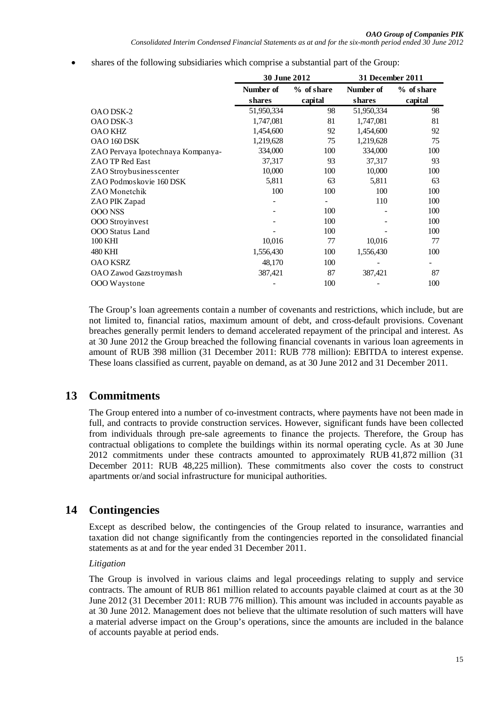• shares of the following subsidiaries which comprise a substantial part of the Group:

|                                   | 30 June 2012 |            | 31 December 2011 |            |
|-----------------------------------|--------------|------------|------------------|------------|
|                                   | Number of    | % of share | Number of        | % of share |
|                                   | shares       | capital    | shares           | capital    |
| <b>OAO DSK-2</b>                  | 51,950,334   | 98         | 51,950,334       | 98         |
| OAO DSK-3                         | 1,747,081    | 81         | 1,747,081        | 81         |
| <b>OAO KHZ</b>                    | 1,454,600    | 92         | 1,454,600        | 92         |
| OAO 160 DSK                       | 1,219,628    | 75         | 1,219,628        | 75         |
| ZAO Pervaya Ipotechnaya Kompanya- | 334,000      | 100        | 334,000          | 100        |
| ZAO TP Red East                   | 37,317       | 93         | 37,317           | 93         |
| ZAO Stroybusinesscenter           | 10,000       | 100        | 10,000           | 100        |
| ZAO Podmoskovie 160 DSK           | 5,811        | 63         | 5,811            | 63         |
| ZAO Monetchik                     | 100          | 100        | 100              | 100        |
| ZAO PIK Zapad                     |              |            | 110              | 100        |
| <b>OOO NSS</b>                    |              | 100        |                  | 100        |
| OOO Stroyinvest                   |              | 100        |                  | 100        |
| OOO Status Land                   |              | 100        |                  | 100        |
| 100 KHI                           | 10,016       | 77         | 10,016           | 77         |
| 480 KHI                           | 1,556,430    | 100        | 1,556,430        | 100        |
| <b>OAO KSRZ</b>                   | 48,170       | 100        |                  |            |
| OAO Zawod Gazstroymash            | 387,421      | 87         | 387,421          | 87         |
| OOO Waystone                      |              | 100        |                  | 100        |

The Group's loan agreements contain a number of covenants and restrictions, which include, but are not limited to, financial ratios, maximum amount of debt, and cross-default provisions. Covenant breaches generally permit lenders to demand accelerated repayment of the principal and interest. As at 30 June 2012 the Group breached the following financial covenants in various loan agreements in amount of RUB 398 million (31 December 2011: RUB 778 million): EBITDA to interest expense. These loans classified as current, payable on demand, as at 30 June 2012 and 31 December 2011.

# **13 Commitments**

The Group entered into a number of co-investment contracts, where payments have not been made in full, and contracts to provide construction services. However, significant funds have been collected from individuals through pre-sale agreements to finance the projects. Therefore, the Group has contractual obligations to complete the buildings within its normal operating cycle. As at 30 June 2012 commitments under these contracts amounted to approximately RUB 41,872 million (31 December 2011: RUB 48,225 million). These commitments also cover the costs to construct apartments or/and social infrastructure for municipal authorities.

# **14 Contingencies**

Except as described below, the contingencies of the Group related to insurance, warranties and taxation did not change significantly from the contingencies reported in the consolidated financial statements as at and for the year ended 31 December 2011.

## *Litigation*

The Group is involved in various claims and legal proceedings relating to supply and service contracts. The amount of RUB 861 million related to accounts payable claimed at court as at the 30 June 2012 (31 December 2011: RUB 776 million). This amount was included in accounts payable as at 30 June 2012. Management does not believe that the ultimate resolution of such matters will have a material adverse impact on the Group's operations, since the amounts are included in the balance of accounts payable at period ends.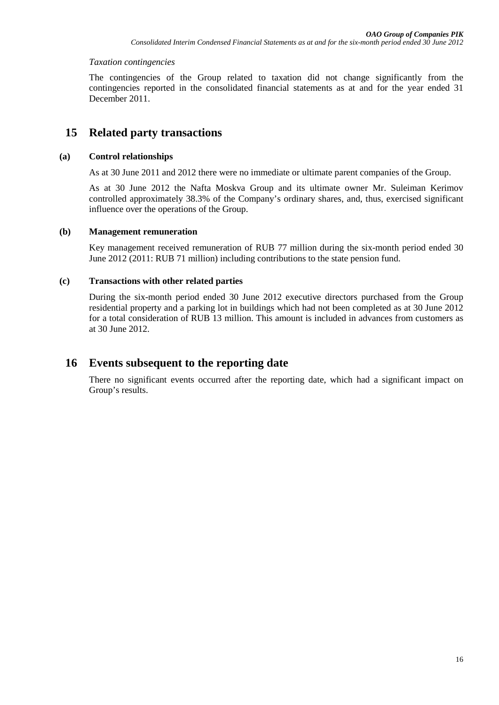### *Taxation contingencies*

The contingencies of the Group related to taxation did not change significantly from the contingencies reported in the consolidated financial statements as at and for the year ended 31 December 2011.

## **15 Related party transactions**

## **(a) Control relationships**

As at 30 June 2011 and 2012 there were no immediate or ultimate parent companies of the Group.

As at 30 June 2012 the Nafta Moskva Group and its ultimate owner Mr. Suleiman Kerimov controlled approximately 38.3% of the Company's ordinary shares, and, thus, exercised significant influence over the operations of the Group.

### **(b) Management remuneration**

Key management received remuneration of RUB 77 million during the six-month period ended 30 June 2012 (2011: RUB 71 million) including contributions to the state pension fund.

### **(c) Transactions with other related parties**

During the six-month period ended 30 June 2012 executive directors purchased from the Group residential property and a parking lot in buildings which had not been completed as at 30 June 2012 for a total consideration of RUB 13 million. This amount is included in advances from customers as at 30 June 2012.

## **16 Events subsequent to the reporting date**

There no significant events occurred after the reporting date, which had a significant impact on Group's results.